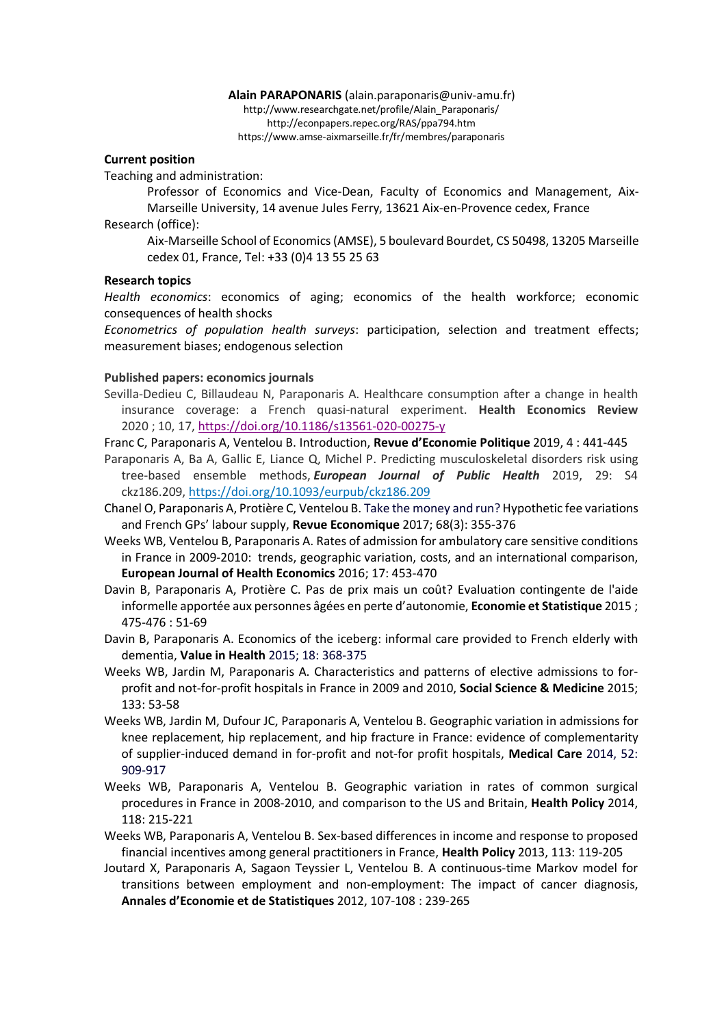#### **Alain PARAPONARIS** (alain.paraponaris@univ-amu.fr) http://www.researchgate.net/profile/Alain\_Paraponaris/ http://econpapers.repec.org/RAS/ppa794.htm https://www.amse-aixmarseille.fr/fr/membres/paraponaris

#### **Current position**

Teaching and administration:

Professor of Economics and Vice-Dean, Faculty of Economics and Management, Aix-Marseille University, 14 avenue Jules Ferry, 13621 Aix-en-Provence cedex, France Research (office):

Aix-Marseille School of Economics(AMSE), 5 boulevard Bourdet, CS 50498, 13205 Marseille cedex 01, France, Tel: +33 (0)4 13 55 25 63

### **Research topics**

*Health economics*: economics of aging; economics of the health workforce; economic consequences of health shocks

*Econometrics of population health surveys*: participation, selection and treatment effects; measurement biases; endogenous selection

#### **Published papers: economics journals**

- Sevilla-Dedieu C, Billaudeau N, Paraponaris A. Healthcare consumption after a change in health insurance coverage: a French quasi-natural experiment. **Health Economics Review** 2020 ; 10, 17, https://doi.org/10.1186/s13561-020-00275-y
- Franc C, Paraponaris A, Ventelou B. Introduction, **Revue d'Economie Politique** 2019, 4 : 441-445
- Paraponaris A, Ba A, Gallic E, Liance Q, Michel P. Predicting musculoskeletal disorders risk using tree-based ensemble methods, *European Journal of Public Health* 2019, 29: S4 ckz186.209, https://doi.org/10.1093/eurpub/ckz186.209
- Chanel O, Paraponaris A, Protière C, Ventelou B. Take the money and run? Hypothetic fee variations and French GPs' labour supply, **Revue Economique** 2017; 68(3): 355-376
- Weeks WB, Ventelou B, Paraponaris A. Rates of admission for ambulatory care sensitive conditions in France in 2009-2010: trends, geographic variation, costs, and an international comparison, **European Journal of Health Economics** 2016; 17: 453-470
- Davin B, Paraponaris A, Protière C. Pas de prix mais un coût? Evaluation contingente de l'aide informelle apportée aux personnes âgées en perte d'autonomie, **Economie et Statistique** 2015 ; 475-476 : 51-69
- Davin B, Paraponaris A. Economics of the iceberg: informal care provided to French elderly with dementia, **Value in Health** 2015; 18: 368-375
- Weeks WB, Jardin M, Paraponaris A. Characteristics and patterns of elective admissions to forprofit and not-for-profit hospitals in France in 2009 and 2010, **Social Science & Medicine** 2015; 133: 53-58
- Weeks WB, Jardin M, Dufour JC, Paraponaris A, Ventelou B. Geographic variation in admissions for knee replacement, hip replacement, and hip fracture in France: evidence of complementarity of supplier-induced demand in for-profit and not-for profit hospitals, **Medical Care** 2014, 52: 909-917
- Weeks WB, Paraponaris A, Ventelou B. Geographic variation in rates of common surgical procedures in France in 2008-2010, and comparison to the US and Britain, **Health Policy** 2014, 118: 215-221
- Weeks WB, Paraponaris A, Ventelou B. Sex-based differences in income and response to proposed financial incentives among general practitioners in France, **Health Policy** 2013, 113: 119-205
- Joutard X, Paraponaris A, Sagaon Teyssier L, Ventelou B. A continuous-time Markov model for transitions between employment and non-employment: The impact of cancer diagnosis, **Annales d'Economie et de Statistiques** 2012, 107-108 : 239-265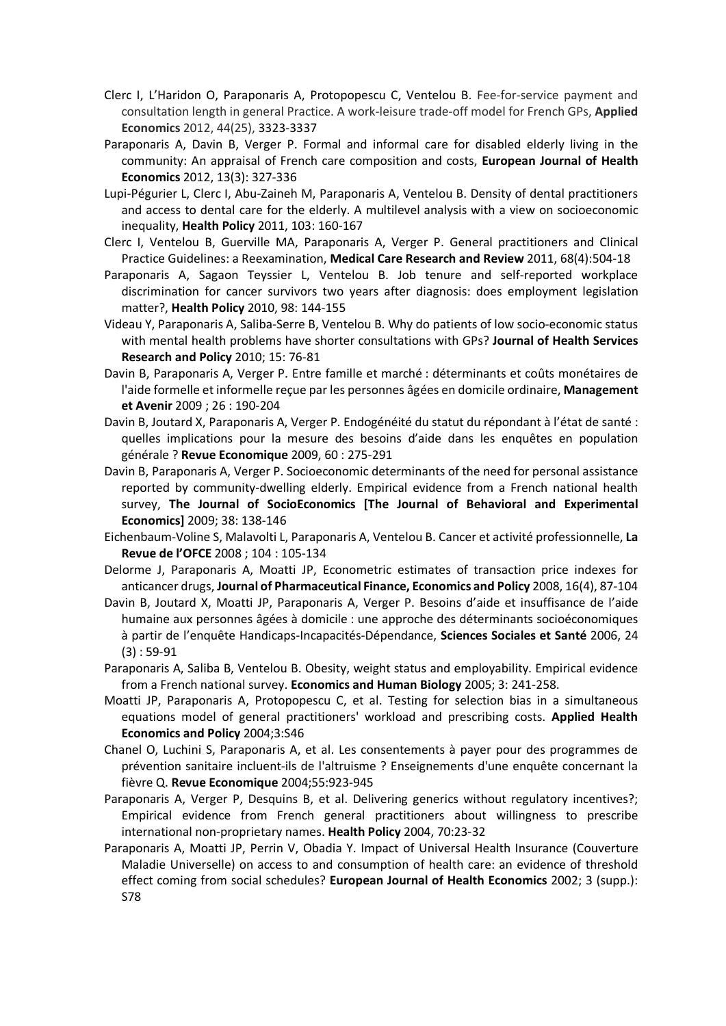- Clerc I, L'Haridon O, Paraponaris A, Protopopescu C, Ventelou B. Fee-for-service payment and consultation length in general Practice. A work-leisure trade-off model for French GPs, **Applied Economics** 2012, 44(25), 3323-3337
- Paraponaris A, Davin B, Verger P. Formal and informal care for disabled elderly living in the community: An appraisal of French care composition and costs, **European Journal of Health Economics** 2012, 13(3): 327-336
- Lupi-Pégurier L, Clerc I, Abu-Zaineh M, Paraponaris A, Ventelou B. Density of dental practitioners and access to dental care for the elderly. A multilevel analysis with a view on socioeconomic inequality, **Health Policy** 2011, 103: 160-167
- Clerc I, Ventelou B, Guerville MA, Paraponaris A, Verger P. General practitioners and Clinical Practice Guidelines: a Reexamination, **Medical Care Research and Review** 2011, 68(4):504-18
- Paraponaris A, Sagaon Teyssier L, Ventelou B. Job tenure and self-reported workplace discrimination for cancer survivors two years after diagnosis: does employment legislation matter?, **Health Policy** 2010, 98: 144-155
- Videau Y, Paraponaris A, Saliba-Serre B, Ventelou B. Why do patients of low socio-economic status with mental health problems have shorter consultations with GPs? **Journal of Health Services Research and Policy** 2010; 15: 76-81
- Davin B, Paraponaris A, Verger P. Entre famille et marché : déterminants et coûts monétaires de l'aide formelle et informelle reçue par les personnes âgées en domicile ordinaire, **Management et Avenir** 2009 ; 26 : 190-204
- Davin B, Joutard X, Paraponaris A, Verger P. Endogénéité du statut du répondant à l'état de santé : quelles implications pour la mesure des besoins d'aide dans les enquêtes en population générale ? **Revue Economique** 2009, 60 : 275-291
- Davin B, Paraponaris A, Verger P. Socioeconomic determinants of the need for personal assistance reported by community-dwelling elderly. Empirical evidence from a French national health survey, **The Journal of SocioEconomics [The Journal of Behavioral and Experimental Economics]** 2009; 38: 138-146
- Eichenbaum-Voline S, Malavolti L, Paraponaris A, Ventelou B. Cancer et activité professionnelle, **La Revue de l'OFCE** 2008 ; 104 : 105-134
- Delorme J, Paraponaris A, Moatti JP, Econometric estimates of transaction price indexes for anticancer drugs, **Journal of Pharmaceutical Finance, Economics and Policy** 2008, 16(4), 87-104
- Davin B, Joutard X, Moatti JP, Paraponaris A, Verger P. Besoins d'aide et insuffisance de l'aide humaine aux personnes âgées à domicile : une approche des déterminants socioéconomiques à partir de l'enquête Handicaps-Incapacités-Dépendance, **Sciences Sociales et Santé** 2006, 24 (3) : 59-91
- Paraponaris A, Saliba B, Ventelou B. Obesity, weight status and employability. Empirical evidence from a French national survey. **Economics and Human Biology** 2005; 3: 241-258.
- Moatti JP, Paraponaris A, Protopopescu C, et al. Testing for selection bias in a simultaneous equations model of general practitioners' workload and prescribing costs. **Applied Health Economics and Policy** 2004;3:S46
- Chanel O, Luchini S, Paraponaris A, et al. Les consentements à payer pour des programmes de prévention sanitaire incluent-ils de l'altruisme ? Enseignements d'une enquête concernant la fièvre Q. **Revue Economique** 2004;55:923-945
- Paraponaris A, Verger P, Desquins B, et al. Delivering generics without regulatory incentives?; Empirical evidence from French general practitioners about willingness to prescribe international non-proprietary names. **Health Policy** 2004, 70:23-32
- Paraponaris A, Moatti JP, Perrin V, Obadia Y. Impact of Universal Health Insurance (Couverture Maladie Universelle) on access to and consumption of health care: an evidence of threshold effect coming from social schedules? **European Journal of Health Economics** 2002; 3 (supp.): S78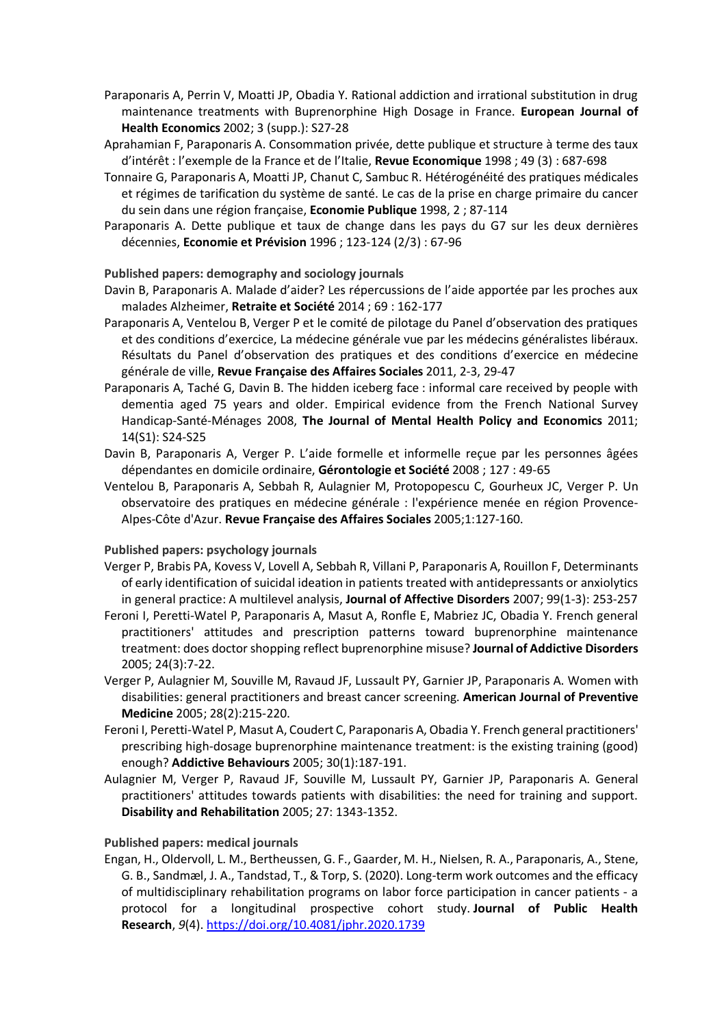- Paraponaris A, Perrin V, Moatti JP, Obadia Y. Rational addiction and irrational substitution in drug maintenance treatments with Buprenorphine High Dosage in France. **European Journal of Health Economics** 2002; 3 (supp.): S27-28
- Aprahamian F, Paraponaris A. Consommation privée, dette publique et structure à terme des taux d'intérêt : l'exemple de la France et de l'Italie, **Revue Economique** 1998 ; 49 (3) : 687-698
- Tonnaire G, Paraponaris A, Moatti JP, Chanut C, Sambuc R. Hétérogénéité des pratiques médicales et régimes de tarification du système de santé. Le cas de la prise en charge primaire du cancer du sein dans une région française, **Economie Publique** 1998, 2 ; 87-114
- Paraponaris A. Dette publique et taux de change dans les pays du G7 sur les deux dernières décennies, **Economie et Prévision** 1996 ; 123-124 (2/3) : 67-96

# **Published papers: demography and sociology journals**

- Davin B, Paraponaris A. Malade d'aider? Les répercussions de l'aide apportée par les proches aux malades Alzheimer, **Retraite et Société** 2014 ; 69 : 162-177
- Paraponaris A, Ventelou B, Verger P et le comité de pilotage du Panel d'observation des pratiques et des conditions d'exercice, La médecine générale vue par les médecins généralistes libéraux. Résultats du Panel d'observation des pratiques et des conditions d'exercice en médecine générale de ville, **Revue Française des Affaires Sociales** 2011, 2-3, 29-47
- Paraponaris A, Taché G, Davin B. The hidden iceberg face : informal care received by people with dementia aged 75 years and older. Empirical evidence from the French National Survey Handicap-Santé-Ménages 2008, **The Journal of Mental Health Policy and Economics** 2011; 14(S1): S24-S25
- Davin B, Paraponaris A, Verger P. L'aide formelle et informelle reçue par les personnes âgées dépendantes en domicile ordinaire, **Gérontologie et Société** 2008 ; 127 : 49-65
- Ventelou B, Paraponaris A, Sebbah R, Aulagnier M, Protopopescu C, Gourheux JC, Verger P. Un observatoire des pratiques en médecine générale : l'expérience menée en région Provence-Alpes-Côte d'Azur. **Revue Française des Affaires Sociales** 2005;1:127-160.

# **Published papers: psychology journals**

- Verger P, Brabis PA, Kovess V, Lovell A, Sebbah R, Villani P, Paraponaris A, Rouillon F, Determinants of early identification of suicidal ideation in patients treated with antidepressants or anxiolytics in general practice: A multilevel analysis, **Journal of Affective Disorders** 2007; 99(1-3): 253-257
- Feroni I, Peretti-Watel P, Paraponaris A, Masut A, Ronfle E, Mabriez JC, Obadia Y. French general practitioners' attitudes and prescription patterns toward buprenorphine maintenance treatment: does doctor shopping reflect buprenorphine misuse? **Journal of Addictive Disorders** 2005; 24(3):7-22.
- Verger P, Aulagnier M, Souville M, Ravaud JF, Lussault PY, Garnier JP, Paraponaris A. Women with disabilities: general practitioners and breast cancer screening. **American Journal of Preventive Medicine** 2005; 28(2):215-220.
- Feroni I, Peretti-Watel P, Masut A, Coudert C, Paraponaris A, Obadia Y. French general practitioners' prescribing high-dosage buprenorphine maintenance treatment: is the existing training (good) enough? **Addictive Behaviours** 2005; 30(1):187-191.
- Aulagnier M, Verger P, Ravaud JF, Souville M, Lussault PY, Garnier JP, Paraponaris A. General practitioners' attitudes towards patients with disabilities: the need for training and support. **Disability and Rehabilitation** 2005; 27: 1343-1352.

# **Published papers: medical journals**

Engan, H., Oldervoll, L. M., Bertheussen, G. F., Gaarder, M. H., Nielsen, R. A., Paraponaris, A., Stene, G. B., Sandmæl, J. A., Tandstad, T., & Torp, S. (2020). Long-term work outcomes and the efficacy of multidisciplinary rehabilitation programs on labor force participation in cancer patients - a protocol for a longitudinal prospective cohort study. **Journal of Public Health Research**, *9*(4). https://doi.org/10.4081/jphr.2020.1739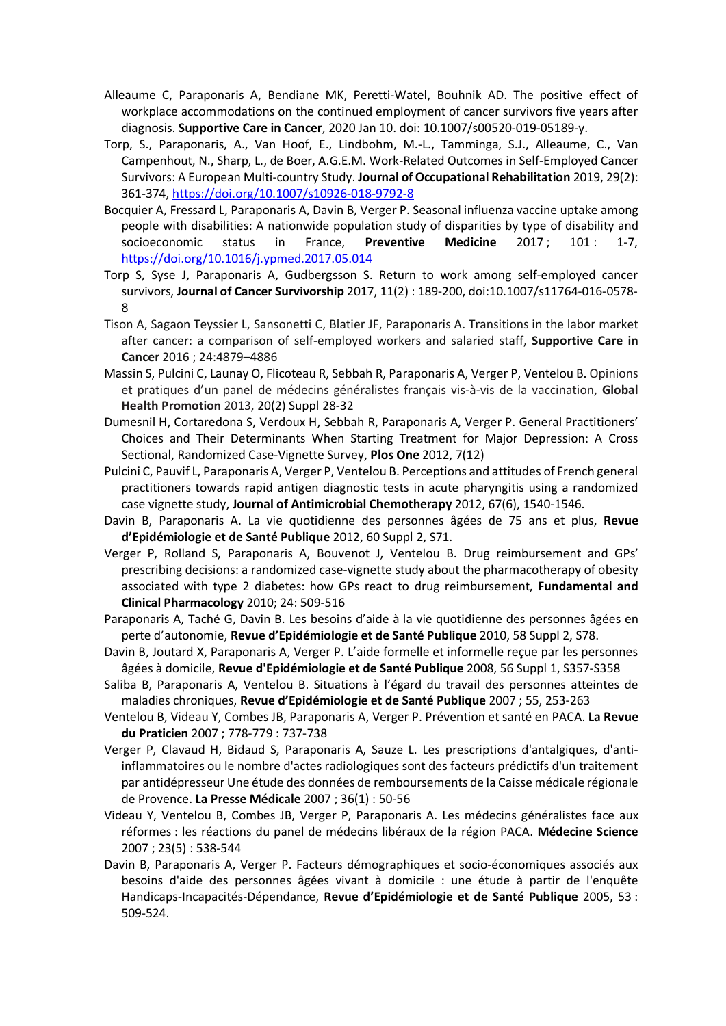- Alleaume C, Paraponaris A, Bendiane MK, Peretti-Watel, Bouhnik AD. The positive effect of workplace accommodations on the continued employment of cancer survivors five years after diagnosis. **Supportive Care in Cancer**, 2020 Jan 10. doi: 10.1007/s00520-019-05189-y.
- Torp, S., Paraponaris, A., Van Hoof, E., Lindbohm, M.-L., Tamminga, S.J., Alleaume, C., Van Campenhout, N., Sharp, L., de Boer, A.G.E.M. Work-Related Outcomes in Self-Employed Cancer Survivors: A European Multi-country Study. **Journal of Occupational Rehabilitation** 2019, 29(2): 361-374, https://doi.org/10.1007/s10926-018-9792-8
- Bocquier A, Fressard L, Paraponaris A, Davin B, Verger P. Seasonal influenza vaccine uptake among people with disabilities: A nationwide population study of disparities by type of disability and socioeconomic status in France, **Preventive Medicine** 2017 ; 101 : 1-7, https://doi.org/10.1016/j.ypmed.2017.05.014
- Torp S, Syse J, Paraponaris A, Gudbergsson S. Return to work among self-employed cancer survivors, **Journal of Cancer Survivorship** 2017, 11(2) : 189-200, doi:10.1007/s11764-016-0578- 8
- Tison A, Sagaon Teyssier L, Sansonetti C, Blatier JF, Paraponaris A. Transitions in the labor market after cancer: a comparison of self-employed workers and salaried staff, **Supportive Care in Cancer** 2016 ; 24:4879–4886
- Massin S, Pulcini C, Launay O, Flicoteau R, Sebbah R, Paraponaris A, Verger P, Ventelou B. Opinions et pratiques d'un panel de médecins généralistes français vis-à-vis de la vaccination, **Global Health Promotion** 2013, 20(2) Suppl 28-32
- Dumesnil H, Cortaredona S, Verdoux H, Sebbah R, Paraponaris A, Verger P. General Practitioners' Choices and Their Determinants When Starting Treatment for Major Depression: A Cross Sectional, Randomized Case-Vignette Survey, **Plos One** 2012, 7(12)
- Pulcini C, Pauvif L, Paraponaris A, Verger P, Ventelou B. Perceptions and attitudes of French general practitioners towards rapid antigen diagnostic tests in acute pharyngitis using a randomized case vignette study, **Journal of Antimicrobial Chemotherapy** 2012, 67(6), 1540-1546.
- Davin B, Paraponaris A. La vie quotidienne des personnes âgées de 75 ans et plus, **Revue d'Epidémiologie et de Santé Publique** 2012, 60 Suppl 2, S71.
- Verger P, Rolland S, Paraponaris A, Bouvenot J, Ventelou B. Drug reimbursement and GPs' prescribing decisions: a randomized case-vignette study about the pharmacotherapy of obesity associated with type 2 diabetes: how GPs react to drug reimbursement, **Fundamental and Clinical Pharmacology** 2010; 24: 509-516
- Paraponaris A, Taché G, Davin B. Les besoins d'aide à la vie quotidienne des personnes âgées en perte d'autonomie, **Revue d'Epidémiologie et de Santé Publique** 2010, 58 Suppl 2, S78.
- Davin B, Joutard X, Paraponaris A, Verger P. L'aide formelle et informelle reçue par les personnes âgées à domicile, **Revue d'Epidémiologie et de Santé Publique** 2008, 56 Suppl 1, S357-S358
- Saliba B, Paraponaris A, Ventelou B. Situations à l'égard du travail des personnes atteintes de maladies chroniques, **Revue d'Epidémiologie et de Santé Publique** 2007 ; 55, 253-263
- Ventelou B, Videau Y, Combes JB, Paraponaris A, Verger P. Prévention et santé en PACA. **La Revue du Praticien** 2007 ; 778-779 : 737-738
- Verger P, Clavaud H, Bidaud S, Paraponaris A, Sauze L. Les prescriptions d'antalgiques, d'antiinflammatoires ou le nombre d'actes radiologiques sont des facteurs prédictifs d'un traitement par antidépresseur Une étude des données de remboursements de la Caisse médicale régionale de Provence. **La Presse Médicale** 2007 ; 36(1) : 50-56
- Videau Y, Ventelou B, Combes JB, Verger P, Paraponaris A. Les médecins généralistes face aux réformes : les réactions du panel de médecins libéraux de la région PACA. **Médecine Science** 2007 ; 23(5) : 538-544
- Davin B, Paraponaris A, Verger P. Facteurs démographiques et socio-économiques associés aux besoins d'aide des personnes âgées vivant à domicile : une étude à partir de l'enquête Handicaps-Incapacités-Dépendance, **Revue d'Epidémiologie et de Santé Publique** 2005, 53 : 509-524.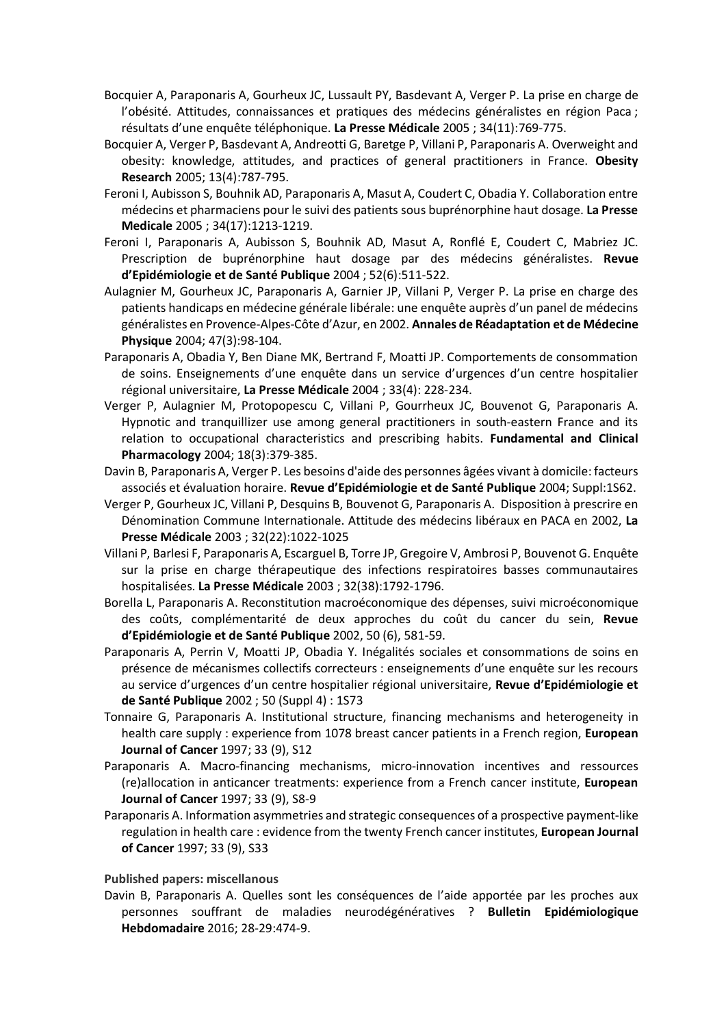- Bocquier A, Paraponaris A, Gourheux JC, Lussault PY, Basdevant A, Verger P. La prise en charge de l'obésité. Attitudes, connaissances et pratiques des médecins généralistes en région Paca ; résultats d'une enquête téléphonique. **La Presse Médicale** 2005 ; 34(11):769-775.
- Bocquier A, Verger P, Basdevant A, Andreotti G, Baretge P, Villani P, Paraponaris A. Overweight and obesity: knowledge, attitudes, and practices of general practitioners in France. **Obesity Research** 2005; 13(4):787-795.
- Feroni I, Aubisson S, Bouhnik AD, Paraponaris A, Masut A, Coudert C, Obadia Y. Collaboration entre médecins et pharmaciens pour le suivi des patients sous buprénorphine haut dosage. **La Presse Medicale** 2005 ; 34(17):1213-1219.
- Feroni I, Paraponaris A, Aubisson S, Bouhnik AD, Masut A, Ronflé E, Coudert C, Mabriez JC. Prescription de buprénorphine haut dosage par des médecins généralistes. **Revue d'Epidémiologie et de Santé Publique** 2004 ; 52(6):511-522.
- Aulagnier M, Gourheux JC, Paraponaris A, Garnier JP, Villani P, Verger P. La prise en charge des patients handicaps en médecine générale libérale: une enquête auprès d'un panel de médecins généralistes en Provence-Alpes-Côte d'Azur, en 2002. **Annales de Réadaptation et de Médecine Physique** 2004; 47(3):98-104.
- Paraponaris A, Obadia Y, Ben Diane MK, Bertrand F, Moatti JP. Comportements de consommation de soins. Enseignements d'une enquête dans un service d'urgences d'un centre hospitalier régional universitaire, **La Presse Médicale** 2004 ; 33(4): 228-234.
- Verger P, Aulagnier M, Protopopescu C, Villani P, Gourrheux JC, Bouvenot G, Paraponaris A. Hypnotic and tranquillizer use among general practitioners in south-eastern France and its relation to occupational characteristics and prescribing habits. **Fundamental and Clinical Pharmacology** 2004; 18(3):379-385.
- Davin B, Paraponaris A, Verger P. Les besoins d'aide des personnes âgées vivant à domicile: facteurs associés et évaluation horaire. **Revue d'Epidémiologie et de Santé Publique** 2004; Suppl:1S62.
- Verger P, Gourheux JC, Villani P, Desquins B, Bouvenot G, Paraponaris A. Disposition à prescrire en Dénomination Commune Internationale. Attitude des médecins libéraux en PACA en 2002, **La Presse Médicale** 2003 ; 32(22):1022-1025
- Villani P, Barlesi F, Paraponaris A, Escarguel B, Torre JP, Gregoire V, Ambrosi P, Bouvenot G. Enquête sur la prise en charge thérapeutique des infections respiratoires basses communautaires hospitalisées. **La Presse Médicale** 2003 ; 32(38):1792-1796.
- Borella L, Paraponaris A. Reconstitution macroéconomique des dépenses, suivi microéconomique des coûts, complémentarité de deux approches du coût du cancer du sein, **Revue d'Epidémiologie et de Santé Publique** 2002, 50 (6), 581-59.
- Paraponaris A, Perrin V, Moatti JP, Obadia Y. Inégalités sociales et consommations de soins en présence de mécanismes collectifs correcteurs : enseignements d'une enquête sur les recours au service d'urgences d'un centre hospitalier régional universitaire, **Revue d'Epidémiologie et de Santé Publique** 2002 ; 50 (Suppl 4) : 1S73
- Tonnaire G, Paraponaris A. Institutional structure, financing mechanisms and heterogeneity in health care supply : experience from 1078 breast cancer patients in a French region, **European Journal of Cancer** 1997; 33 (9), S12
- Paraponaris A. Macro-financing mechanisms, micro-innovation incentives and ressources (re)allocation in anticancer treatments: experience from a French cancer institute, **European Journal of Cancer** 1997; 33 (9), S8-9
- Paraponaris A. Information asymmetries and strategic consequences of a prospective payment-like regulation in health care : evidence from the twenty French cancer institutes, **European Journal of Cancer** 1997; 33 (9), S33

#### **Published papers: miscellanous**

Davin B, Paraponaris A. Quelles sont les conséquences de l'aide apportée par les proches aux personnes souffrant de maladies neurodégénératives ? **Bulletin Epidémiologique Hebdomadaire** 2016; 28-29:474-9.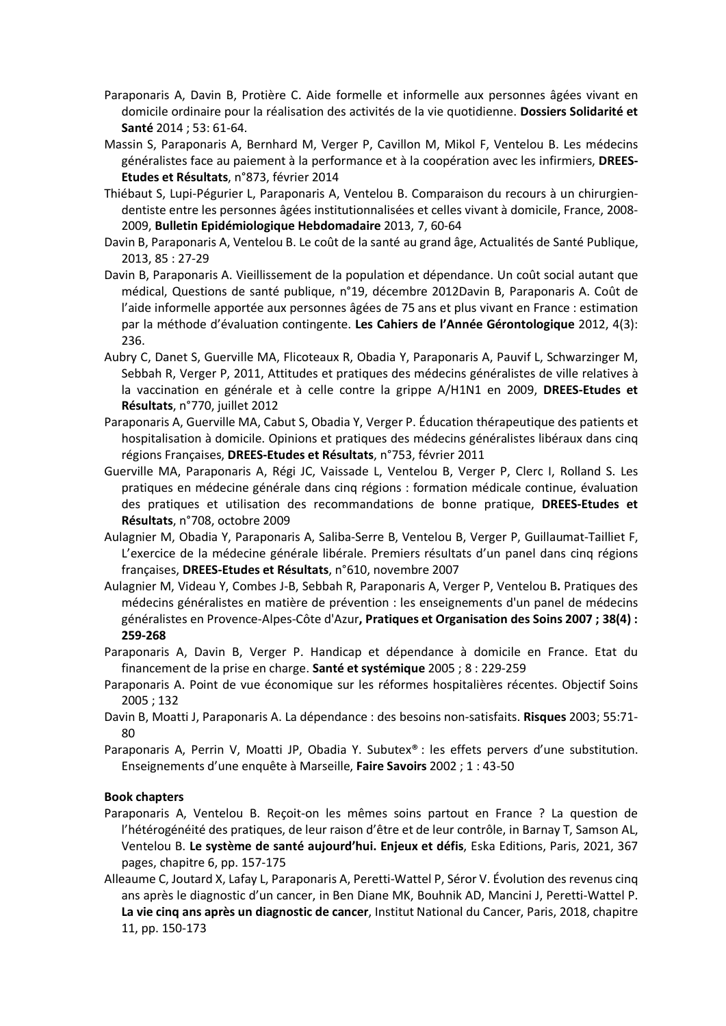- Paraponaris A, Davin B, Protière C. Aide formelle et informelle aux personnes âgées vivant en domicile ordinaire pour la réalisation des activités de la vie quotidienne. **Dossiers Solidarité et Santé** 2014 ; 53: 61-64.
- Massin S, Paraponaris A, Bernhard M, Verger P, Cavillon M, Mikol F, Ventelou B. Les médecins généralistes face au paiement à la performance et à la coopération avec les infirmiers, **DREES-Etudes et Résultats**, n°873, février 2014
- Thiébaut S, Lupi-Pégurier L, Paraponaris A, Ventelou B. Comparaison du recours à un chirurgiendentiste entre les personnes âgées institutionnalisées et celles vivant à domicile, France, 2008- 2009, **Bulletin Epidémiologique Hebdomadaire** 2013, 7, 60-64
- Davin B, Paraponaris A, Ventelou B. Le coût de la santé au grand âge, Actualités de Santé Publique, 2013, 85 : 27-29
- Davin B, Paraponaris A. Vieillissement de la population et dépendance. Un coût social autant que médical, Questions de santé publique, n°19, décembre 2012Davin B, Paraponaris A. Coût de l'aide informelle apportée aux personnes âgées de 75 ans et plus vivant en France : estimation par la méthode d'évaluation contingente. **Les Cahiers de l'Année Gérontologique** 2012, 4(3): 236.
- Aubry C, Danet S, Guerville MA, Flicoteaux R, Obadia Y, Paraponaris A, Pauvif L, Schwarzinger M, Sebbah R, Verger P, 2011, Attitudes et pratiques des médecins généralistes de ville relatives à la vaccination en générale et à celle contre la grippe A/H1N1 en 2009, **DREES-Etudes et Résultats**, n°770, juillet 2012
- Paraponaris A, Guerville MA, Cabut S, Obadia Y, Verger P. Éducation thérapeutique des patients et hospitalisation à domicile. Opinions et pratiques des médecins généralistes libéraux dans cinq régions Françaises, **DREES-Etudes et Résultats**, n°753, février 2011
- Guerville MA, Paraponaris A, Régi JC, Vaissade L, Ventelou B, Verger P, Clerc I, Rolland S. Les pratiques en médecine générale dans cinq régions : formation médicale continue, évaluation des pratiques et utilisation des recommandations de bonne pratique, **DREES-Etudes et Résultats**, n°708, octobre 2009
- Aulagnier M, Obadia Y, Paraponaris A, Saliba-Serre B, Ventelou B, Verger P, Guillaumat-Tailliet F, L'exercice de la médecine générale libérale. Premiers résultats d'un panel dans cinq régions françaises, **DREES-Etudes et Résultats**, n°610, novembre 2007
- Aulagnier M, Videau Y, Combes J-B, Sebbah R, Paraponaris A, Verger P, Ventelou B**.** Pratiques des médecins généralistes en matière de prévention : les enseignements d'un panel de médecins généralistes en Provence-Alpes-Côte d'Azur**, Pratiques et Organisation des Soins 2007 ; 38(4) : 259-268**
- Paraponaris A, Davin B, Verger P. Handicap et dépendance à domicile en France. Etat du financement de la prise en charge. **Santé et systémique** 2005 ; 8 : 229-259
- Paraponaris A. Point de vue économique sur les réformes hospitalières récentes. Objectif Soins 2005 ; 132
- Davin B, Moatti J, Paraponaris A. La dépendance : des besoins non-satisfaits. **Risques** 2003; 55:71- 80
- Paraponaris A, Perrin V, Moatti JP, Obadia Y. Subutex® : les effets pervers d'une substitution. Enseignements d'une enquête à Marseille, **Faire Savoirs** 2002 ; 1 : 43-50

# **Book chapters**

- Paraponaris A, Ventelou B. Reçoit-on les mêmes soins partout en France ? La question de l'hétérogénéité des pratiques, de leur raison d'être et de leur contrôle, in Barnay T, Samson AL, Ventelou B. **Le système de santé aujourd'hui. Enjeux et défis**, Eska Editions, Paris, 2021, 367 pages, chapitre 6, pp. 157-175
- Alleaume C, Joutard X, Lafay L, Paraponaris A, Peretti-Wattel P, Séror V. Évolution des revenus cinq ans après le diagnostic d'un cancer, in Ben Diane MK, Bouhnik AD, Mancini J, Peretti-Wattel P. **La vie cinq ans après un diagnostic de cancer**, Institut National du Cancer, Paris, 2018, chapitre 11, pp. 150-173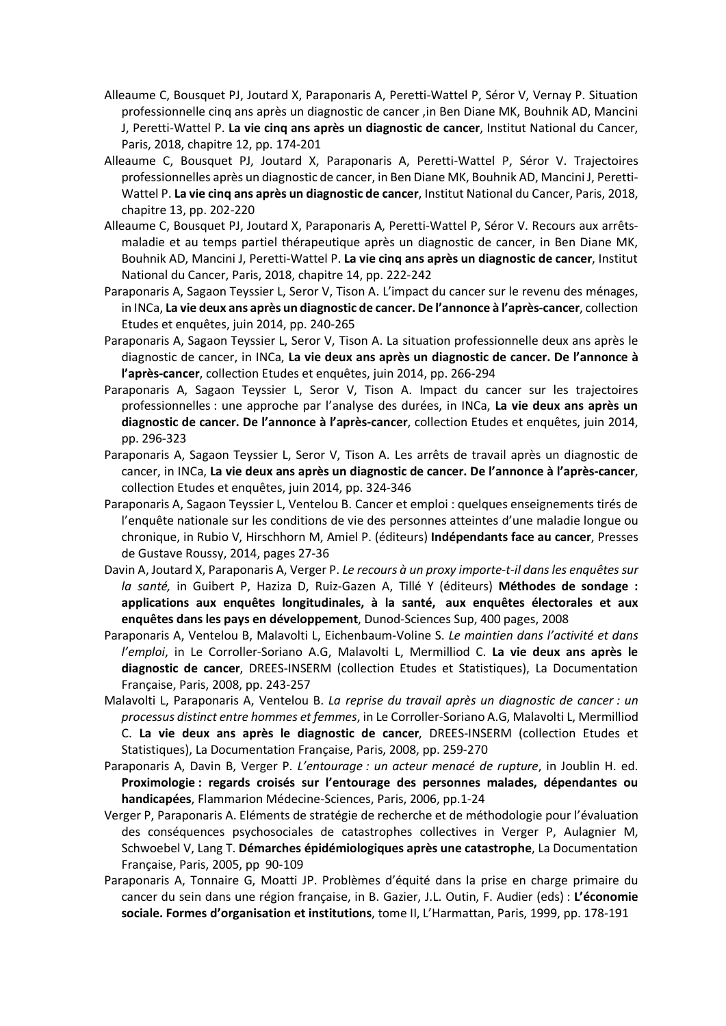- Alleaume C, Bousquet PJ, Joutard X, Paraponaris A, Peretti-Wattel P, Séror V, Vernay P. Situation professionnelle cinq ans après un diagnostic de cancer ,in Ben Diane MK, Bouhnik AD, Mancini J, Peretti-Wattel P. **La vie cinq ans après un diagnostic de cancer**, Institut National du Cancer, Paris, 2018, chapitre 12, pp. 174-201
- Alleaume C, Bousquet PJ, Joutard X, Paraponaris A, Peretti-Wattel P, Séror V. Trajectoires professionnelles après un diagnostic de cancer, in Ben Diane MK, Bouhnik AD, Mancini J, Peretti-Wattel P. **La vie cinq ans après un diagnostic de cancer**, Institut National du Cancer, Paris, 2018, chapitre 13, pp. 202-220
- Alleaume C, Bousquet PJ, Joutard X, Paraponaris A, Peretti-Wattel P, Séror V. Recours aux arrêtsmaladie et au temps partiel thérapeutique après un diagnostic de cancer, in Ben Diane MK, Bouhnik AD, Mancini J, Peretti-Wattel P. **La vie cinq ans après un diagnostic de cancer**, Institut National du Cancer, Paris, 2018, chapitre 14, pp. 222-242
- Paraponaris A, Sagaon Teyssier L, Seror V, Tison A. L'impact du cancer sur le revenu des ménages, in INCa, **La vie deux ans après un diagnostic de cancer. De l'annonce à l'après-cancer**, collection Etudes et enquêtes, juin 2014, pp. 240-265
- Paraponaris A, Sagaon Teyssier L, Seror V, Tison A. La situation professionnelle deux ans après le diagnostic de cancer, in INCa, **La vie deux ans après un diagnostic de cancer. De l'annonce à l'après-cancer**, collection Etudes et enquêtes, juin 2014, pp. 266-294
- Paraponaris A, Sagaon Teyssier L, Seror V, Tison A. Impact du cancer sur les trajectoires professionnelles : une approche par l'analyse des durées, in INCa, **La vie deux ans après un diagnostic de cancer. De l'annonce à l'après-cancer**, collection Etudes et enquêtes, juin 2014, pp. 296-323
- Paraponaris A, Sagaon Teyssier L, Seror V, Tison A. Les arrêts de travail après un diagnostic de cancer, in INCa, **La vie deux ans après un diagnostic de cancer. De l'annonce à l'après-cancer**, collection Etudes et enquêtes, juin 2014, pp. 324-346
- Paraponaris A, Sagaon Teyssier L, Ventelou B. Cancer et emploi : quelques enseignements tirés de l'enquête nationale sur les conditions de vie des personnes atteintes d'une maladie longue ou chronique, in Rubio V, Hirschhorn M, Amiel P. (éditeurs) **Indépendants face au cancer**, Presses de Gustave Roussy, 2014, pages 27-36
- Davin A, Joutard X, Paraponaris A, Verger P. *Le recours à un proxy importe-t-il dans les enquêtes sur la santé,* in Guibert P, Haziza D, Ruiz-Gazen A, Tillé Y (éditeurs) **Méthodes de sondage : applications aux enquêtes longitudinales, à la santé, aux enquêtes électorales et aux enquêtes dans les pays en développement**, Dunod-Sciences Sup, 400 pages, 2008
- Paraponaris A, Ventelou B, Malavolti L, Eichenbaum-Voline S. *Le maintien dans l'activité et dans l'emploi*, in Le Corroller-Soriano A.G, Malavolti L, Mermilliod C. **La vie deux ans après le diagnostic de cancer**, DREES-INSERM (collection Etudes et Statistiques), La Documentation Française, Paris, 2008, pp. 243-257
- Malavolti L, Paraponaris A, Ventelou B. *La reprise du travail après un diagnostic de cancer : un processus distinct entre hommes et femmes*, in Le Corroller-Soriano A.G, Malavolti L, Mermilliod C. **La vie deux ans après le diagnostic de cancer**, DREES-INSERM (collection Etudes et Statistiques), La Documentation Française, Paris, 2008, pp. 259-270
- Paraponaris A, Davin B, Verger P. *L'entourage : un acteur menacé de rupture*, in Joublin H. ed. **Proximologie : regards croisés sur l'entourage des personnes malades, dépendantes ou handicapées**, Flammarion Médecine-Sciences, Paris, 2006, pp.1-24
- Verger P, Paraponaris A. Eléments de stratégie de recherche et de méthodologie pour l'évaluation des conséquences psychosociales de catastrophes collectives in Verger P, Aulagnier M, Schwoebel V, Lang T. **Démarches épidémiologiques après une catastrophe**, La Documentation Française, Paris, 2005, pp 90-109
- Paraponaris A, Tonnaire G, Moatti JP. Problèmes d'équité dans la prise en charge primaire du cancer du sein dans une région française, in B. Gazier, J.L. Outin, F. Audier (eds) : **L'économie sociale. Formes d'organisation et institutions**, tome II, L'Harmattan, Paris, 1999, pp. 178-191